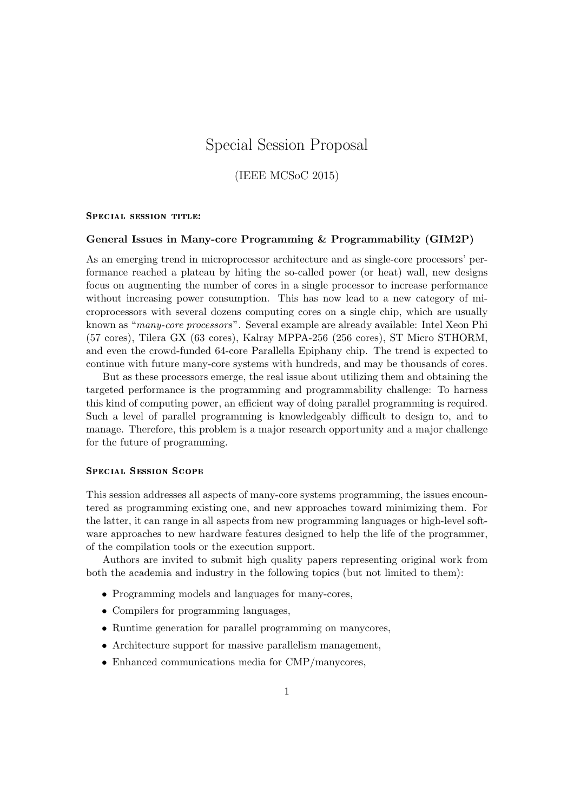# Special Session Proposal

(IEEE MCSoC 2015)

## SPECIAL SESSION TITLE:

#### General Issues in Many-core Programming & Programmability (GIM2P)

As an emerging trend in microprocessor architecture and as single-core processors' performance reached a plateau by hiting the so-called power (or heat) wall, new designs focus on augmenting the number of cores in a single processor to increase performance without increasing power consumption. This has now lead to a new category of microprocessors with several dozens computing cores on a single chip, which are usually known as "many-core processors". Several example are already available: Intel Xeon Phi (57 cores), Tilera GX (63 cores), Kalray MPPA-256 (256 cores), ST Micro STHORM, and even the crowd-funded 64-core Parallella Epiphany chip. The trend is expected to continue with future many-core systems with hundreds, and may be thousands of cores.

But as these processors emerge, the real issue about utilizing them and obtaining the targeted performance is the programming and programmability challenge: To harness this kind of computing power, an efficient way of doing parallel programming is required. Such a level of parallel programming is knowledgeably difficult to design to, and to manage. Therefore, this problem is a major research opportunity and a major challenge for the future of programming.

### Special Session Scope

This session addresses all aspects of many-core systems programming, the issues encountered as programming existing one, and new approaches toward minimizing them. For the latter, it can range in all aspects from new programming languages or high-level software approaches to new hardware features designed to help the life of the programmer, of the compilation tools or the execution support.

Authors are invited to submit high quality papers representing original work from both the academia and industry in the following topics (but not limited to them):

- Programming models and languages for many-cores,
- Compilers for programming languages,
- Runtime generation for parallel programming on manycores,
- Architecture support for massive parallelism management,
- Enhanced communications media for CMP/manycores,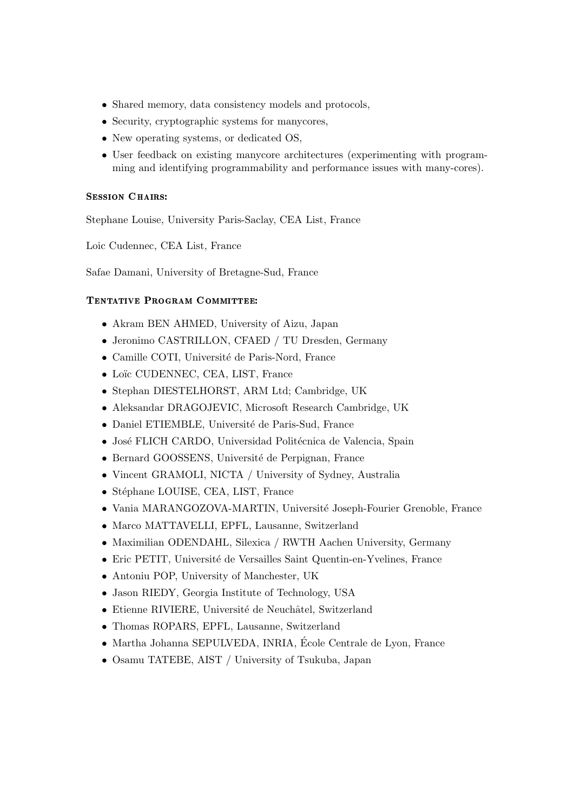- Shared memory, data consistency models and protocols,
- Security, cryptographic systems for manycores,
- New operating systems, or dedicated OS,
- User feedback on existing manycore architectures (experimenting with programming and identifying programmability and performance issues with many-cores).

# SESSION CHAIRS:

Stephane Louise, University Paris-Saclay, CEA List, France

Loic Cudennec, CEA List, France

Safae Damani, University of Bretagne-Sud, France

# Tentative Program Committee:

- Akram BEN AHMED, University of Aizu, Japan
- Jeronimo CASTRILLON, CFAED / TU Dresden, Germany
- Camille COTI, Université de Paris-Nord, France
- Loïc CUDENNEC, CEA, LIST, France
- Stephan DIESTELHORST, ARM Ltd; Cambridge, UK
- Aleksandar DRAGOJEVIC, Microsoft Research Cambridge, UK
- Daniel ETIEMBLE, Université de Paris-Sud, France
- José FLICH CARDO, Universidad Politécnica de Valencia, Spain
- Bernard GOOSSENS, Université de Perpignan, France
- Vincent GRAMOLI, NICTA / University of Sydney, Australia
- Stéphane LOUISE, CEA, LIST, France
- Vania MARANGOZOVA-MARTIN, Université Joseph-Fourier Grenoble, France
- Marco MATTAVELLI, EPFL, Lausanne, Switzerland
- Maximilian ODENDAHL, Silexica / RWTH Aachen University, Germany
- Eric PETIT, Université de Versailles Saint Quentin-en-Yvelines, France
- Antoniu POP, University of Manchester, UK
- Jason RIEDY, Georgia Institute of Technology, USA
- $\bullet$  Etienne RIVIERE, Université de Neuchâtel, Switzerland
- Thomas ROPARS, EPFL, Lausanne, Switzerland
- Martha Johanna SEPULVEDA, INRIA, Ecole Centrale de Lyon, France ´
- Osamu TATEBE, AIST / University of Tsukuba, Japan